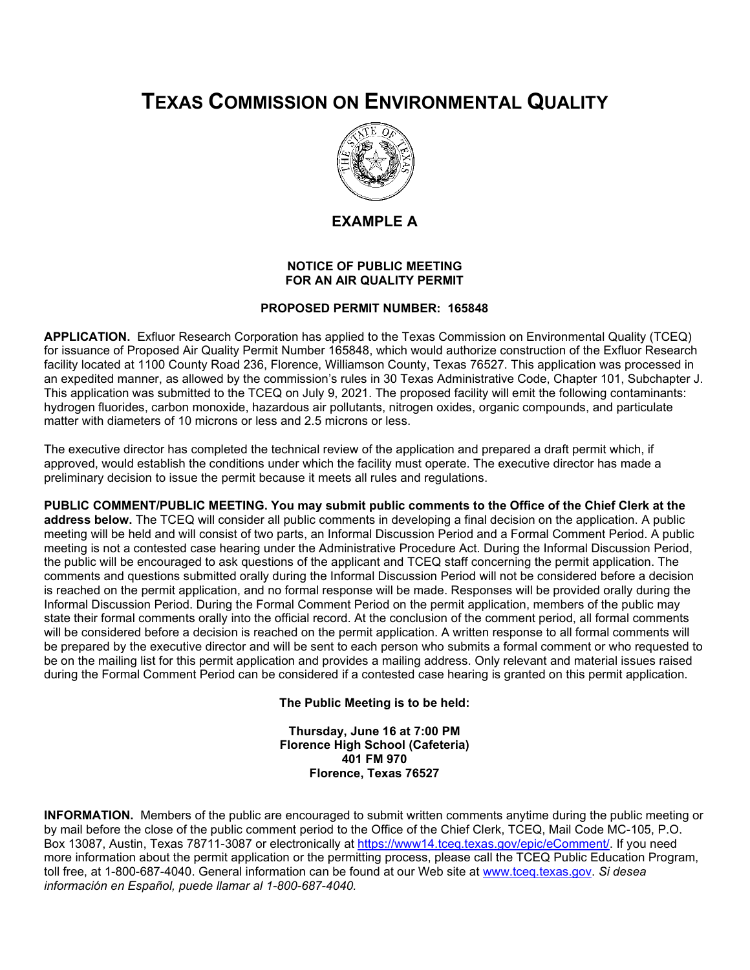## **TEXAS COMMISSION ON ENVIRONMENTAL QUALITY**



**EXAMPLE A**

## **NOTICE OF PUBLIC MEETING FOR AN AIR QUALITY PERMIT**

## **PROPOSED PERMIT NUMBER: 165848**

**APPLICATION.** Exfluor Research Corporation has applied to the Texas Commission on Environmental Quality (TCEQ) for issuance of Proposed Air Quality Permit Number 165848, which would authorize construction of the Exfluor Research facility located at 1100 County Road 236, Florence, Williamson County, Texas 76527. This application was processed in an expedited manner, as allowed by the commission's rules in 30 Texas Administrative Code, Chapter 101, Subchapter J. This application was submitted to the TCEQ on July 9, 2021. The proposed facility will emit the following contaminants: hydrogen fluorides, carbon monoxide, hazardous air pollutants, nitrogen oxides, organic compounds, and particulate matter with diameters of 10 microns or less and 2.5 microns or less.

The executive director has completed the technical review of the application and prepared a draft permit which, if approved, would establish the conditions under which the facility must operate. The executive director has made a preliminary decision to issue the permit because it meets all rules and regulations.

**PUBLIC COMMENT/PUBLIC MEETING. You may submit public comments to the Office of the Chief Clerk at the address below.** The TCEQ will consider all public comments in developing a final decision on the application. A public meeting will be held and will consist of two parts, an Informal Discussion Period and a Formal Comment Period. A public meeting is not a contested case hearing under the Administrative Procedure Act. During the Informal Discussion Period, the public will be encouraged to ask questions of the applicant and TCEQ staff concerning the permit application. The comments and questions submitted orally during the Informal Discussion Period will not be considered before a decision is reached on the permit application, and no formal response will be made. Responses will be provided orally during the Informal Discussion Period. During the Formal Comment Period on the permit application, members of the public may state their formal comments orally into the official record. At the conclusion of the comment period, all formal comments will be considered before a decision is reached on the permit application. A written response to all formal comments will be prepared by the executive director and will be sent to each person who submits a formal comment or who requested to be on the mailing list for this permit application and provides a mailing address. Only relevant and material issues raised during the Formal Comment Period can be considered if a contested case hearing is granted on this permit application.

**The Public Meeting is to be held:**

**Thursday, June 16 at 7:00 PM Florence High School (Cafeteria) 401 FM 970 Florence, Texas 76527**

**INFORMATION.** Members of the public are encouraged to submit written comments anytime during the public meeting or by mail before the close of the public comment period to the Office of the Chief Clerk, TCEQ, Mail Code MC-105, P.O. Box 13087, Austin, Texas 78711-3087 or electronically at [https://www14.tceq.texas.gov/epic/eComment/.](https://www14.tceq.texas.gov/epic/eComment/) If you need more information about the permit application or the permitting process, please call the TCEQ Public Education Program, toll free, at 1-800-687-4040. General information can be found at our Web site at [www.tceq.texas.gov.](http://www.tceq.texas.gov/) *Si desea información en Español, puede llamar al 1-800-687-4040.*